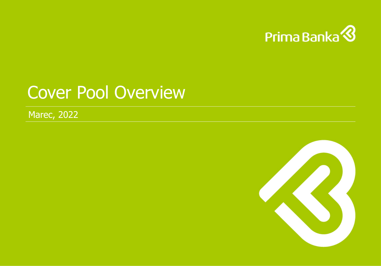

# Cover Pool Overview

Marec, 2022

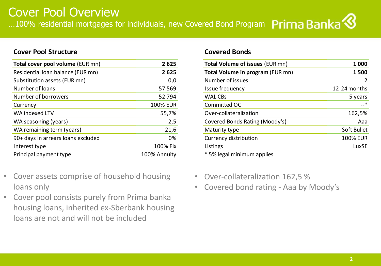### **Cover Pool Structure Covered Bonds**

| Total cover pool volume (EUR mn)   | 2625            | <b>Total Volume of issues (EUR mn)</b> | 1 0 0 0            |
|------------------------------------|-----------------|----------------------------------------|--------------------|
| Residential loan balance (EUR mn)  | 2625            | Total Volume in program (EUR mn)       | 1500               |
| Substitution assets (EUR mn)       | 0,0             | Number of issues                       | $\overline{2}$     |
| Number of loans                    | 57 5 69         | Issue frequency                        | 12-24 months       |
| Number of borrowers                | 52 794          | <b>WAL CBs</b>                         | 5 years            |
| Currency                           | <b>100% EUR</b> | Committed OC                           | —–*                |
| WA indexed LTV                     | 55,7%           | Over-collateralization                 | 162,5%             |
| WA seasoning (years)               | 2,5             | Covered Bonds Rating (Moody's)         | Aaa                |
| WA remaining term (years)          | 21,6            | Maturity type                          | <b>Soft Bullet</b> |
| 90+ days in arrears loans excluded | 0%              | Currency distribution                  | <b>100% EUR</b>    |
| Interest type                      | 100% Fix        | Listings                               | LuxSE              |
| Principal payment type             | 100% Annuity    | * 5% legal minimum applies             |                    |

- Cover assets comprise of household housing loans only
- Cover pool consists purely from Prima banka housing loans, inherited ex-Sberbank housing loans are not and will not be included

| <b>Total Volume of issues (EUR mn)</b>                                                                                                                                                                                                                                                                                                                                                                                                                                               | 1 0 0 0         |
|--------------------------------------------------------------------------------------------------------------------------------------------------------------------------------------------------------------------------------------------------------------------------------------------------------------------------------------------------------------------------------------------------------------------------------------------------------------------------------------|-----------------|
| Total Volume in program (EUR mn)                                                                                                                                                                                                                                                                                                                                                                                                                                                     | 1500            |
| Number of issues                                                                                                                                                                                                                                                                                                                                                                                                                                                                     | 2               |
| Issue frequency                                                                                                                                                                                                                                                                                                                                                                                                                                                                      | 12-24 months    |
| <b>WAL CBs</b>                                                                                                                                                                                                                                                                                                                                                                                                                                                                       | 5 years         |
| Committed OC                                                                                                                                                                                                                                                                                                                                                                                                                                                                         | *               |
| Over-collateralization                                                                                                                                                                                                                                                                                                                                                                                                                                                               | 162,5%          |
| Covered Bonds Rating (Moody's)                                                                                                                                                                                                                                                                                                                                                                                                                                                       | Aaa             |
| Maturity type                                                                                                                                                                                                                                                                                                                                                                                                                                                                        | Soft Bullet     |
| <b>Currency distribution</b>                                                                                                                                                                                                                                                                                                                                                                                                                                                         | <b>100% EUR</b> |
| Listings                                                                                                                                                                                                                                                                                                                                                                                                                                                                             | LuxSE           |
| $*$ $\blacksquare$ $\blacksquare$ $\blacksquare$ $\blacksquare$ $\blacksquare$ $\blacksquare$ $\blacksquare$ $\blacksquare$ $\blacksquare$ $\blacksquare$ $\blacksquare$ $\blacksquare$ $\blacksquare$ $\blacksquare$ $\blacksquare$ $\blacksquare$ $\blacksquare$ $\blacksquare$ $\blacksquare$ $\blacksquare$ $\blacksquare$ $\blacksquare$ $\blacksquare$ $\blacksquare$ $\blacksquare$ $\blacksquare$ $\blacksquare$ $\blacksquare$ $\blacksquare$ $\blacksquare$ $\blacksquare$ |                 |

- Over-collateralization 162,5 %
- Covered bond rating Aaa by Moody's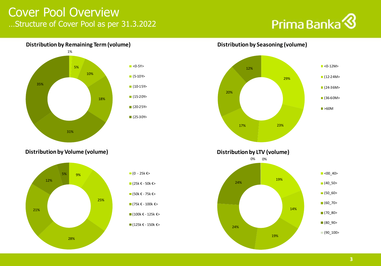### Cover Pool Overview …Structure of Cover Pool as per 31.3.2022

## Prima Banka<sup>8</sup>



### **Distribution by Remaining Term (volume)**



**Distribution by Seasoning (volume)** 



**Distribution by Volume (volume)**





**Distribution by LTV (volume)**